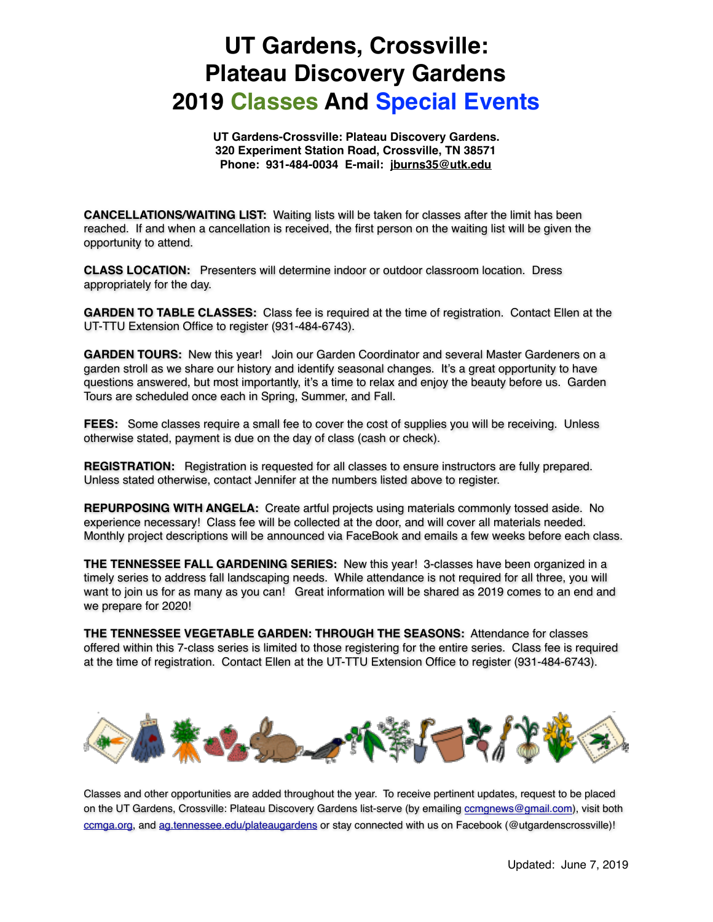## **UT Gardens, Crossville: Plateau Discovery Gardens 2019 Classes And Special Events**

**UT Gardens-Crossville: Plateau Discovery Gardens. 320 Experiment Station Road, Crossville, TN 38571 Phone: 931-484-0034 E-mail: jburns35@utk.edu**

**CANCELLATIONS/WAITING LIST:** Waiting lists will be taken for classes after the limit has been reached. If and when a cancellation is received, the first person on the waiting list will be given the opportunity to attend.

**CLASS LOCATION:** Presenters will determine indoor or outdoor classroom location. Dress appropriately for the day.

**GARDEN TO TABLE CLASSES:** Class fee is required at the time of registration. Contact Ellen at the UT-TTU Extension Office to register (931-484-6743).

**GARDEN TOURS:** New this year! Join our Garden Coordinator and several Master Gardeners on a garden stroll as we share our history and identify seasonal changes. It's a great opportunity to have questions answered, but most importantly, it's a time to relax and enjoy the beauty before us. Garden Tours are scheduled once each in Spring, Summer, and Fall.

**FEES:** Some classes require a small fee to cover the cost of supplies you will be receiving. Unless otherwise stated, payment is due on the day of class (cash or check).

**REGISTRATION:** Registration is requested for all classes to ensure instructors are fully prepared. Unless stated otherwise, contact Jennifer at the numbers listed above to register.

**REPURPOSING WITH ANGELA:** Create artful projects using materials commonly tossed aside. No experience necessary! Class fee will be collected at the door, and will cover all materials needed. Monthly project descriptions will be announced via FaceBook and emails a few weeks before each class.

**THE TENNESSEE FALL GARDENING SERIES:** New this year! 3-classes have been organized in a timely series to address fall landscaping needs. While attendance is not required for all three, you will want to join us for as many as you can! Great information will be shared as 2019 comes to an end and we prepare for 2020!

**THE TENNESSEE VEGETABLE GARDEN: THROUGH THE SEASONS:** Attendance for classes offered within this 7-class series is limited to those registering for the entire series. Class fee is required at the time of registration. Contact Ellen at the UT-TTU Extension Office to register (931-484-6743).



Classes and other opportunities are added throughout the year. To receive pertinent updates, request to be placed on the UT Gardens, Crossville: Plateau Discovery Gardens list-serve (by emailing [ccmgnews@gmail.com\)](mailto:ccmgnews@gmail.com), visit both [ccmga.org](http://ccmga.org), and [ag.tennessee.edu/plateaugardens](http://ag.tennessee.edu/plateaugardens) or stay connected with us on Facebook (@utgardenscrossville)!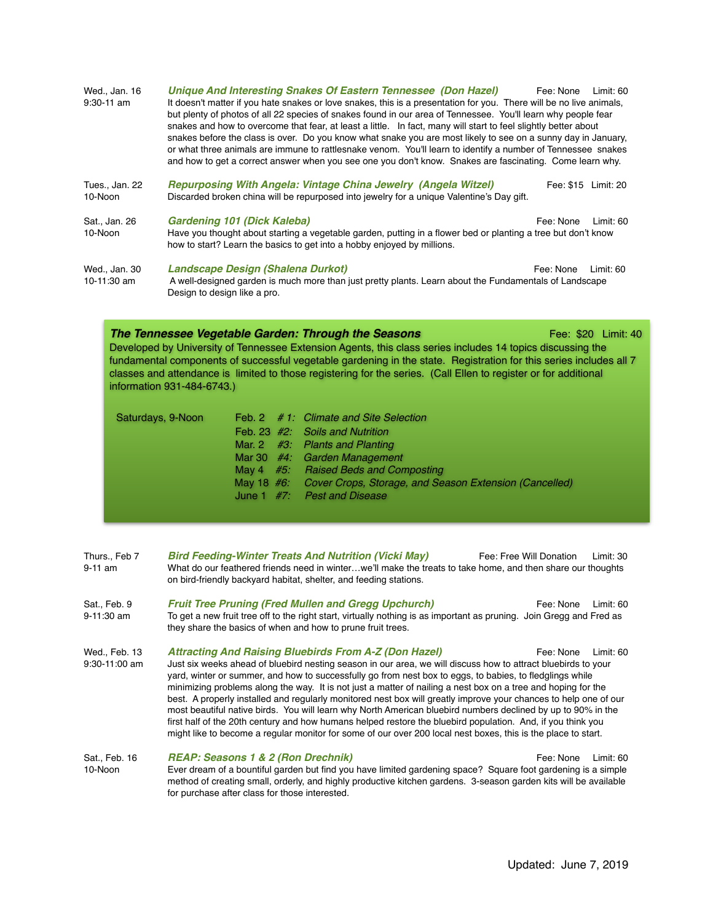| Wed., Jan. 16<br>$9:30 - 11$ am | Unique And Interesting Snakes Of Eastern Tennessee (Don Hazel)<br>Fee: None<br>Limit: 60<br>It doesn't matter if you hate snakes or love snakes, this is a presentation for you. There will be no live animals,<br>but plenty of photos of all 22 species of snakes found in our area of Tennessee. You'll learn why people fear<br>snakes and how to overcome that fear, at least a little. In fact, many will start to feel slightly better about<br>snakes before the class is over. Do you know what snake you are most likely to see on a sunny day in January,<br>or what three animals are immune to rattlesnake venom. You'll learn to identify a number of Tennessee snakes<br>and how to get a correct answer when you see one you don't know. Snakes are fascinating. Come learn why. |
|---------------------------------|--------------------------------------------------------------------------------------------------------------------------------------------------------------------------------------------------------------------------------------------------------------------------------------------------------------------------------------------------------------------------------------------------------------------------------------------------------------------------------------------------------------------------------------------------------------------------------------------------------------------------------------------------------------------------------------------------------------------------------------------------------------------------------------------------|
| Tues., Jan. 22<br>10-Noon       | Repurposing With Angela: Vintage China Jewelry (Angela Witzel)<br>Fee: \$15 Limit: 20<br>Discarded broken china will be repurposed into jewelry for a unique Valentine's Day gift.                                                                                                                                                                                                                                                                                                                                                                                                                                                                                                                                                                                                               |
| Sat., Jan. 26<br>10-Noon        | Gardening 101 (Dick Kaleba)<br>Fee: None<br>Limit: 60<br>Have you thought about starting a vegetable garden, putting in a flower bed or planting a tree but don't know<br>how to start? Learn the basics to get into a hobby enjoyed by millions.                                                                                                                                                                                                                                                                                                                                                                                                                                                                                                                                                |
| Wed., Jan. 30<br>10-11:30 am    | <b>Landscape Design (Shalena Durkot)</b><br>Fee: None<br>Limit: $60$<br>A well-designed garden is much more than just pretty plants. Learn about the Fundamentals of Landscape<br>Design to design like a pro.                                                                                                                                                                                                                                                                                                                                                                                                                                                                                                                                                                                   |

## **The Tennessee Vegetable Garden: Through the Seasons** *Fee: \$20 Limit: 40* **Commit: 40** Developed by University of Tennessee Extension Agents, this class series includes 14 topics discussing the

fundamental components of successful vegetable gardening in the state. Registration for this series includes all 7 classes and attendance is limited to those registering for the series. (Call Ellen to register or for additional information 931-484-6743.)

| Saturdays, 9-Noon |  | Feb. 2 # 1: Climate and Site Selection                            |
|-------------------|--|-------------------------------------------------------------------|
|                   |  | Feb. 23 #2: Soils and Nutrition                                   |
|                   |  | Mar. 2 $#3$ : Plants and Planting                                 |
|                   |  | Mar 30 $#4$ : Garden Management                                   |
|                   |  | May 4 #5: Raised Beds and Composting                              |
|                   |  | May 18 #6: Cover Crops, Storage, and Season Extension (Cancelled) |
|                   |  | June 1 $#7$ : Pest and Disease                                    |
|                   |  |                                                                   |

| Thurs Feb 7 | <b>Bird Feeding-Winter Treats And Nutrition (Vicki May)</b>                                                 | Fee: Free Will Donation | Limit: 30 |
|-------------|-------------------------------------------------------------------------------------------------------------|-------------------------|-----------|
| 9-11 am     | What do our feathered friends need in winterwe'll make the treats to take home, and then share our thoughts |                         |           |
|             | on bird-friendly backyard habitat, shelter, and feeding stations.                                           |                         |           |

- Sat., Feb. 9 **Fruit Tree Pruning (Fred Mullen and Gregg Upchurch)** Fee: None Limit: 60<br>9-11:30 am To get a new fruit tree off to the right start, virtually nothing is as important as pruning. Join Gregg and Fred as To get a new fruit tree off to the right start, virtually nothing is as important as pruning. Join Gregg and Fred as they share the basics of when and how to prune fruit trees.
- Wed., Feb. 13 **Attracting And Raising Bluebirds From A-Z (Don Hazel)** Fee: None Limit: 60 9:30-11:00 am Just six weeks ahead of bluebird nesting season in our area, we will discuss how to attract bluebirds to your yard, winter or summer, and how to successfully go from nest box to eggs, to babies, to fledglings while minimizing problems along the way. It is not just a matter of nailing a nest box on a tree and hoping for the best. A properly installed and regularly monitored nest box will greatly improve your chances to help one of our most beautiful native birds. You will learn why North American bluebird numbers declined by up to 90% in the first half of the 20th century and how humans helped restore the bluebird population. And, if you think you might like to become a regular monitor for some of our over 200 local nest boxes, this is the place to start.
- Sat., Feb. 16 **REAP: Seasons 1 & 2 (Ron Drechnik)** Fee: None Limit: 60<br>10-Noon Ever dream of a bountiful garden but find you have limited gardening space? Square foot gardening is a simple Ever dream of a bountiful garden but find you have limited gardening space? Square foot gardening is a simple method of creating small, orderly, and highly productive kitchen gardens. 3-season garden kits will be available for purchase after class for those interested.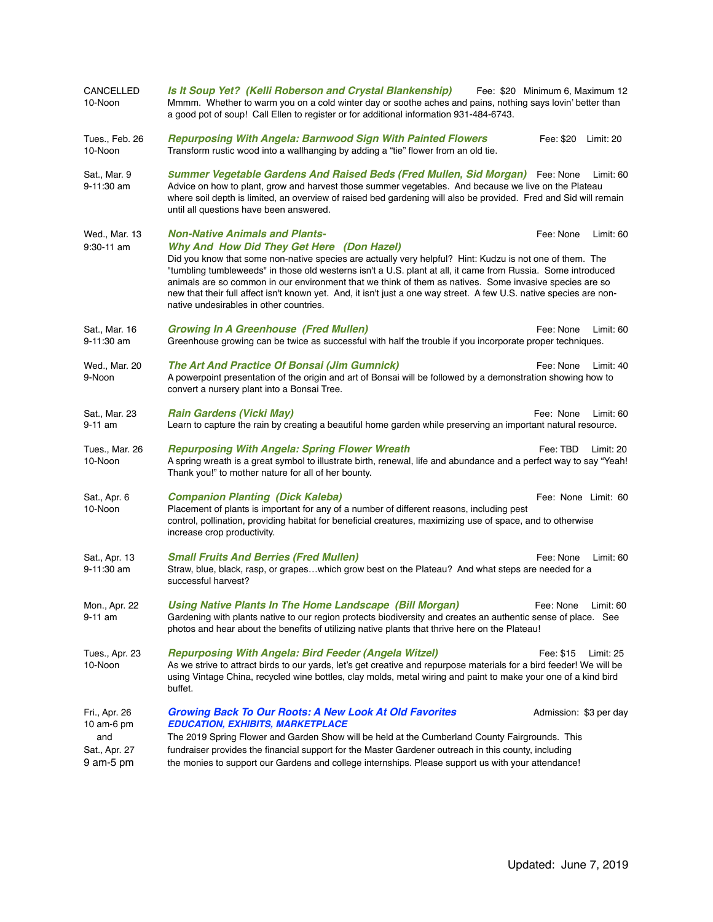| CANCELLED<br>10-Noon                                             | Is It Soup Yet? (Kelli Roberson and Crystal Blankenship)<br>Fee: \$20 Minimum 6, Maximum 12<br>Mmmm. Whether to warm you on a cold winter day or soothe aches and pains, nothing says lovin' better than<br>a good pot of soup! Call Ellen to register or for additional information 931-484-6743.                                                                                                                                                                                                                                                                                                                    |
|------------------------------------------------------------------|-----------------------------------------------------------------------------------------------------------------------------------------------------------------------------------------------------------------------------------------------------------------------------------------------------------------------------------------------------------------------------------------------------------------------------------------------------------------------------------------------------------------------------------------------------------------------------------------------------------------------|
| Tues., Feb. 26<br>10-Noon                                        | <b>Repurposing With Angela: Barnwood Sign With Painted Flowers</b><br>Fee: \$20    Limit: 20<br>Transform rustic wood into a wallhanging by adding a "tie" flower from an old tie.                                                                                                                                                                                                                                                                                                                                                                                                                                    |
| Sat., Mar. 9<br>9-11:30 am                                       | <b>Summer Vegetable Gardens And Raised Beds (Fred Mullen, Sid Morgan)</b> Fee: None<br>Limit: 60<br>Advice on how to plant, grow and harvest those summer vegetables. And because we live on the Plateau<br>where soil depth is limited, an overview of raised bed gardening will also be provided. Fred and Sid will remain<br>until all questions have been answered.                                                                                                                                                                                                                                               |
| Wed., Mar. 13<br>9:30-11 am                                      | <b>Non-Native Animals and Plants-</b><br>Fee: None<br>Limit: 60<br>Why And How Did They Get Here (Don Hazel)<br>Did you know that some non-native species are actually very helpful? Hint: Kudzu is not one of them. The<br>"tumbling tumbleweeds" in those old westerns isn't a U.S. plant at all, it came from Russia. Some introduced<br>animals are so common in our environment that we think of them as natives. Some invasive species are so<br>new that their full affect isn't known yet. And, it isn't just a one way street. A few U.S. native species are non-<br>native undesirables in other countries. |
| Sat., Mar. 16<br>$9 - 11:30$ am                                  | <b>Growing In A Greenhouse (Fred Mullen)</b><br>Fee: None<br>Limit: 60<br>Greenhouse growing can be twice as successful with half the trouble if you incorporate proper techniques.                                                                                                                                                                                                                                                                                                                                                                                                                                   |
| Wed., Mar. 20<br>9-Noon                                          | The Art And Practice Of Bonsai (Jim Gumnick)<br>Fee: None<br>Limit: 40<br>A powerpoint presentation of the origin and art of Bonsai will be followed by a demonstration showing how to<br>convert a nursery plant into a Bonsai Tree.                                                                                                                                                                                                                                                                                                                                                                                 |
| Sat., Mar. 23<br>9-11 am                                         | <b>Rain Gardens (Vicki May)</b><br>Fee: None<br>Limit: 60<br>Learn to capture the rain by creating a beautiful home garden while preserving an important natural resource.                                                                                                                                                                                                                                                                                                                                                                                                                                            |
| Tues., Mar. 26<br>10-Noon                                        | <b>Repurposing With Angela: Spring Flower Wreath</b><br>Fee: TBD<br>Limit: 20<br>A spring wreath is a great symbol to illustrate birth, renewal, life and abundance and a perfect way to say "Yeah!<br>Thank you!" to mother nature for all of her bounty.                                                                                                                                                                                                                                                                                                                                                            |
| Sat., Apr. 6<br>10-Noon                                          | <b>Companion Planting (Dick Kaleba)</b><br>Fee: None Limit: 60<br>Placement of plants is important for any of a number of different reasons, including pest<br>control, pollination, providing habitat for beneficial creatures, maximizing use of space, and to otherwise<br>increase crop productivity.                                                                                                                                                                                                                                                                                                             |
| Sat., Apr. 13<br>$9 - 11:30$ am                                  | <b>Small Fruits And Berries (Fred Mullen)</b><br>Fee: None<br>Limit: 60<br>Straw, blue, black, rasp, or grapeswhich grow best on the Plateau? And what steps are needed for a<br>successful harvest?                                                                                                                                                                                                                                                                                                                                                                                                                  |
| Mon., Apr. 22<br>9-11 am                                         | Using Native Plants In The Home Landscape (Bill Morgan)<br>Fee: None Limit: 60<br>Gardening with plants native to our region protects biodiversity and creates an authentic sense of place. See<br>photos and hear about the benefits of utilizing native plants that thrive here on the Plateau!                                                                                                                                                                                                                                                                                                                     |
| Tues., Apr. 23<br>10-Noon                                        | <b>Repurposing With Angela: Bird Feeder (Angela Witzel)</b><br>Fee: \$15<br>Limit: $25$<br>As we strive to attract birds to our yards, let's get creative and repurpose materials for a bird feeder! We will be<br>using Vintage China, recycled wine bottles, clay molds, metal wiring and paint to make your one of a kind bird<br>buffet.                                                                                                                                                                                                                                                                          |
| Fri., Apr. 26<br>10 am-6 pm<br>and<br>Sat., Apr. 27<br>9 am-5 pm | <b>Growing Back To Our Roots: A New Look At Old Favorites</b><br>Admission: \$3 per day<br><b>EDUCATION, EXHIBITS, MARKETPLACE</b><br>The 2019 Spring Flower and Garden Show will be held at the Cumberland County Fairgrounds. This<br>fundraiser provides the financial support for the Master Gardener outreach in this county, including<br>the monies to support our Gardens and college internships. Please support us with your attendance!                                                                                                                                                                    |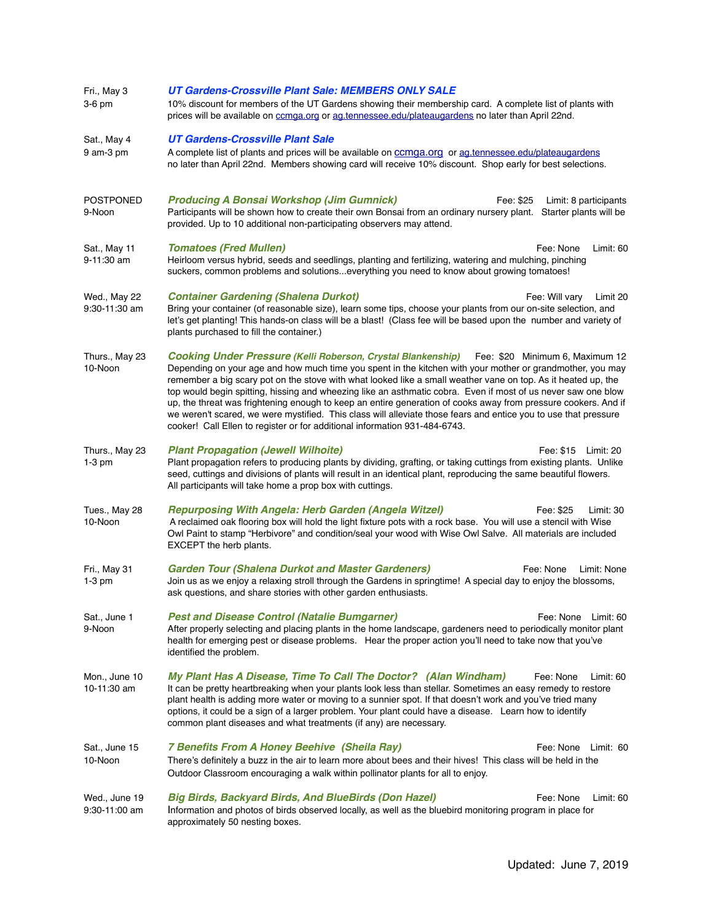| Fri., May 3<br>3-6 pm              | UT Gardens-Crossville Plant Sale: MEMBERS ONLY SALE<br>10% discount for members of the UT Gardens showing their membership card. A complete list of plants with<br>prices will be available on comga.org or ag.tennessee.edu/plateaugardens no later than April 22nd.                                                                                                                                                                                                                                                                                                                                                                                                                                                                                                 |  |  |  |
|------------------------------------|-----------------------------------------------------------------------------------------------------------------------------------------------------------------------------------------------------------------------------------------------------------------------------------------------------------------------------------------------------------------------------------------------------------------------------------------------------------------------------------------------------------------------------------------------------------------------------------------------------------------------------------------------------------------------------------------------------------------------------------------------------------------------|--|--|--|
| Sat., May 4<br>9 am-3 pm           | <b>UT Gardens-Crossville Plant Sale</b><br>A complete list of plants and prices will be available on ccmga.org or ag.tennessee.edu/plateaugardens<br>no later than April 22nd. Members showing card will receive 10% discount. Shop early for best selections.                                                                                                                                                                                                                                                                                                                                                                                                                                                                                                        |  |  |  |
| <b>POSTPONED</b><br>9-Noon         | <b>Producing A Bonsai Workshop (Jim Gumnick)</b><br>Fee: \$25<br>Limit: 8 participants<br>Participants will be shown how to create their own Bonsai from an ordinary nursery plant. Starter plants will be<br>provided. Up to 10 additional non-participating observers may attend.                                                                                                                                                                                                                                                                                                                                                                                                                                                                                   |  |  |  |
| Sat., May 11<br>9-11:30 am         | <b>Tomatoes (Fred Mullen)</b><br>Fee: None<br>Limit: 60<br>Heirloom versus hybrid, seeds and seedlings, planting and fertilizing, watering and mulching, pinching<br>suckers, common problems and solutionseverything you need to know about growing tomatoes!                                                                                                                                                                                                                                                                                                                                                                                                                                                                                                        |  |  |  |
| Wed., May 22<br>9:30-11:30 am      | <b>Container Gardening (Shalena Durkot)</b><br>Fee: Will vary<br>Limit 20<br>Bring your container (of reasonable size), learn some tips, choose your plants from our on-site selection, and<br>let's get planting! This hands-on class will be a blast! (Class fee will be based upon the number and variety of<br>plants purchased to fill the container.)                                                                                                                                                                                                                                                                                                                                                                                                           |  |  |  |
| Thurs., May 23<br>10-Noon          | <b>Cooking Under Pressure (Kelli Roberson, Crystal Blankenship)</b> Fee: \$20 Minimum 6, Maximum 12<br>Depending on your age and how much time you spent in the kitchen with your mother or grandmother, you may<br>remember a big scary pot on the stove with what looked like a small weather vane on top. As it heated up, the<br>top would begin spitting, hissing and wheezing like an asthmatic cobra. Even if most of us never saw one blow<br>up, the threat was frightening enough to keep an entire generation of cooks away from pressure cookers. And if<br>we weren't scared, we were mystified. This class will alleviate those fears and entice you to use that pressure<br>cooker! Call Ellen to register or for additional information 931-484-6743. |  |  |  |
| Thurs., May 23<br>$1-3$ pm         | <b>Plant Propagation (Jewell Wilhoite)</b><br>Fee: \$15    Limit: 20<br>Plant propagation refers to producing plants by dividing, grafting, or taking cuttings from existing plants. Unlike<br>seed, cuttings and divisions of plants will result in an identical plant, reproducing the same beautiful flowers.<br>All participants will take home a prop box with cuttings.                                                                                                                                                                                                                                                                                                                                                                                         |  |  |  |
| Tues., May 28<br>10-Noon           | <b>Repurposing With Angela: Herb Garden (Angela Witzel)</b><br>Fee: \$25<br>Limit: 30<br>A reclaimed oak flooring box will hold the light fixture pots with a rock base. You will use a stencil with Wise<br>Owl Paint to stamp "Herbivore" and condition/seal your wood with Wise Owl Salve. All materials are included<br>EXCEPT the herb plants.                                                                                                                                                                                                                                                                                                                                                                                                                   |  |  |  |
| Fri., May 31<br>$1-3$ pm           | <b>Garden Tour (Shalena Durkot and Master Gardeners)</b><br>Fee: None<br>Limit: None<br>Join us as we enjoy a relaxing stroll through the Gardens in springtime! A special day to enjoy the blossoms,<br>ask questions, and share stories with other garden enthusiasts.                                                                                                                                                                                                                                                                                                                                                                                                                                                                                              |  |  |  |
| Sat., June 1<br>9-Noon             | <b>Pest and Disease Control (Natalie Bumgarner)</b><br>Fee: None Limit: 60<br>After properly selecting and placing plants in the home landscape, gardeners need to periodically monitor plant<br>health for emerging pest or disease problems. Hear the proper action you'll need to take now that you've<br>identified the problem.                                                                                                                                                                                                                                                                                                                                                                                                                                  |  |  |  |
| Mon., June 10<br>10-11:30 am       | My Plant Has A Disease, Time To Call The Doctor? (Alan Windham)<br>Fee: None<br>Limit: 60<br>It can be pretty heartbreaking when your plants look less than stellar. Sometimes an easy remedy to restore<br>plant health is adding more water or moving to a sunnier spot. If that doesn't work and you've tried many<br>options, it could be a sign of a larger problem. Your plant could have a disease. Learn how to identify<br>common plant diseases and what treatments (if any) are necessary.                                                                                                                                                                                                                                                                 |  |  |  |
| Sat., June 15<br>10-Noon           | 7 Benefits From A Honey Beehive (Sheila Ray)<br>Fee: None Limit: 60<br>There's definitely a buzz in the air to learn more about bees and their hives! This class will be held in the<br>Outdoor Classroom encouraging a walk within pollinator plants for all to enjoy.                                                                                                                                                                                                                                                                                                                                                                                                                                                                                               |  |  |  |
| Wed., June 19<br>$9:30 - 11:00$ am | <b>Big Birds, Backyard Birds, And BlueBirds (Don Hazel)</b><br>Fee: None<br>Limit: 60<br>Information and photos of birds observed locally, as well as the bluebird monitoring program in place for<br>approximately 50 nesting boxes.                                                                                                                                                                                                                                                                                                                                                                                                                                                                                                                                 |  |  |  |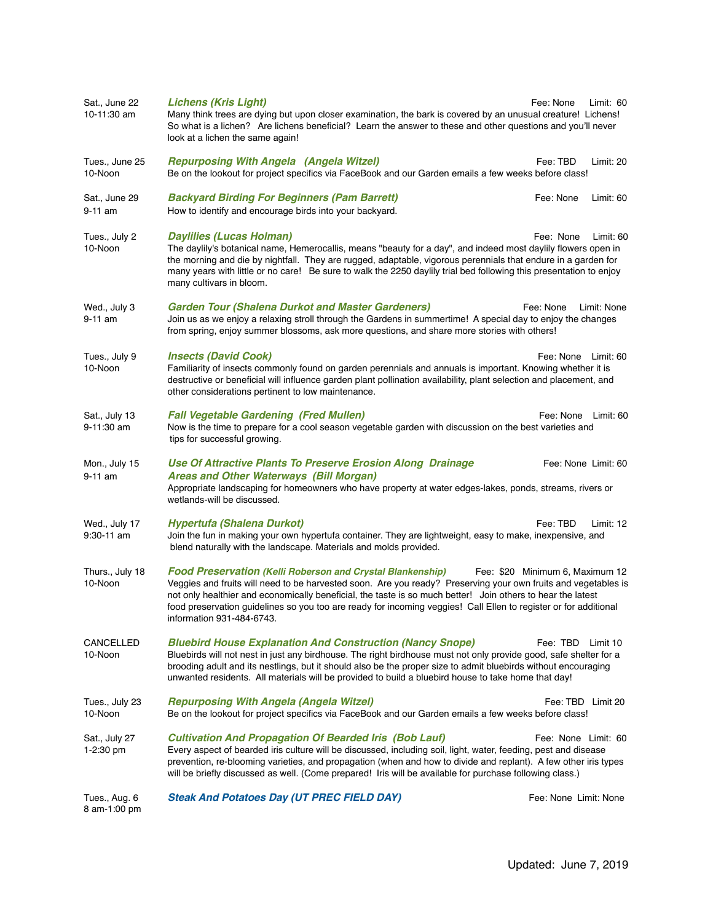| Sat., June 22<br>10-11:30 am    | <b>Lichens (Kris Light)</b><br>Many think trees are dying but upon closer examination, the bark is covered by an unusual creature! Lichens!<br>So what is a lichen? Are lichens beneficial? Learn the answer to these and other questions and you'll never<br>look at a lichen the same again!                                                                                                                                                      | Fee: None                       | Limit: 60           |
|---------------------------------|-----------------------------------------------------------------------------------------------------------------------------------------------------------------------------------------------------------------------------------------------------------------------------------------------------------------------------------------------------------------------------------------------------------------------------------------------------|---------------------------------|---------------------|
| Tues., June 25<br>10-Noon       | <b>Repurposing With Angela (Angela Witzel)</b><br>Be on the lookout for project specifics via FaceBook and our Garden emails a few weeks before class!                                                                                                                                                                                                                                                                                              | Fee: TBD                        | Limit: 20           |
| Sat., June 29<br>9-11 am        | <b>Backyard Birding For Beginners (Pam Barrett)</b><br>How to identify and encourage birds into your backyard.                                                                                                                                                                                                                                                                                                                                      | Fee: None                       | Limit: 60           |
| Tues., July 2<br>10-Noon        | <b>Daylilies (Lucas Holman)</b><br>The daylily's botanical name, Hemerocallis, means "beauty for a day", and indeed most daylily flowers open in<br>the morning and die by nightfall. They are rugged, adaptable, vigorous perennials that endure in a garden for<br>many years with little or no care! Be sure to walk the 2250 daylily trial bed following this presentation to enjoy<br>many cultivars in bloom.                                 | Fee: None                       | Limit: 60           |
| Wed., July 3<br>9-11 am         | <b>Garden Tour (Shalena Durkot and Master Gardeners)</b><br>Join us as we enjoy a relaxing stroll through the Gardens in summertime! A special day to enjoy the changes<br>from spring, enjoy summer blossoms, ask more questions, and share more stories with others!                                                                                                                                                                              | Fee: None                       | Limit: None         |
| Tues., July 9<br>10-Noon        | <b>Insects (David Cook)</b><br>Familiarity of insects commonly found on garden perennials and annuals is important. Knowing whether it is<br>destructive or beneficial will influence garden plant pollination availability, plant selection and placement, and<br>other considerations pertinent to low maintenance.                                                                                                                               | Fee: None                       | Limit: 60           |
| Sat., July 13<br>9-11:30 am     | <b>Fall Vegetable Gardening (Fred Mullen)</b><br>Now is the time to prepare for a cool season vegetable garden with discussion on the best varieties and<br>tips for successful growing.                                                                                                                                                                                                                                                            | Fee: None Limit: 60             |                     |
| Mon., July 15<br>9-11 am        | Use Of Attractive Plants To Preserve Erosion Along Drainage<br><b>Areas and Other Waterways (Bill Morgan)</b><br>Appropriate landscaping for homeowners who have property at water edges-lakes, ponds, streams, rivers or<br>wetlands-will be discussed.                                                                                                                                                                                            |                                 | Fee: None Limit: 60 |
| Wed., July 17<br>$9:30 - 11$ am | <b>Hypertufa (Shalena Durkot)</b><br>Join the fun in making your own hypertufa container. They are lightweight, easy to make, inexpensive, and<br>blend naturally with the landscape. Materials and molds provided.                                                                                                                                                                                                                                 | Fee: TBD                        | Limit: $12$         |
| Thurs., July 18<br>10-Noon      | <b>Food Preservation (Kelli Roberson and Crystal Blankenship)</b><br>Veggies and fruits will need to be harvested soon. Are you ready? Preserving your own fruits and vegetables is<br>not only healthier and economically beneficial, the taste is so much better! Join others to hear the latest<br>food preservation guidelines so you too are ready for incoming veggies! Call Ellen to register or for additional<br>information 931-484-6743. | Fee: \$20 Minimum 6, Maximum 12 |                     |
| <b>CANCELLED</b><br>10-Noon     | <b>Bluebird House Explanation And Construction (Nancy Snope)</b><br>Bluebirds will not nest in just any birdhouse. The right birdhouse must not only provide good, safe shelter for a<br>brooding adult and its nestlings, but it should also be the proper size to admit bluebirds without encouraging<br>unwanted residents. All materials will be provided to build a bluebird house to take home that day!                                      | Fee: TBD Limit 10               |                     |
| Tues., July 23<br>10-Noon       | <b>Repurposing With Angela (Angela Witzel)</b><br>Be on the lookout for project specifics via FaceBook and our Garden emails a few weeks before class!                                                                                                                                                                                                                                                                                              |                                 | Fee: TBD Limit 20   |
| Sat., July 27<br>1-2:30 pm      | <b>Cultivation And Propagation Of Bearded Iris (Bob Lauf)</b><br>Every aspect of bearded iris culture will be discussed, including soil, light, water, feeding, pest and disease<br>prevention, re-blooming varieties, and propagation (when and how to divide and replant). A few other iris types<br>will be briefly discussed as well. (Come prepared! Iris will be available for purchase following class.)                                     | Fee: None Limit: 60             |                     |
| Tues., Aug. 6<br>8 am-1:00 pm   | <b>Steak And Potatoes Day (UT PREC FIELD DAY)</b>                                                                                                                                                                                                                                                                                                                                                                                                   | Fee: None Limit: None           |                     |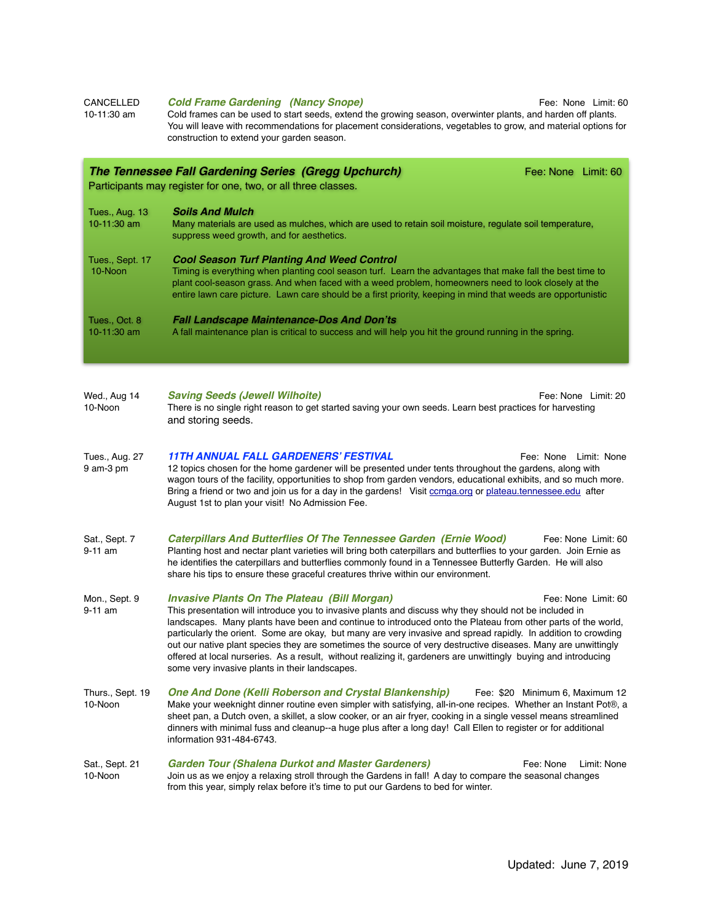| 10-11:30 am                          | Cold frames can be used to start seeds, extend the growing season, overwinter plants, and harden off plants.<br>You will leave with recommendations for placement considerations, vegetables to grow, and material options for<br>construction to extend your garden season.                                                                                                          |                     |  |  |  |  |
|--------------------------------------|---------------------------------------------------------------------------------------------------------------------------------------------------------------------------------------------------------------------------------------------------------------------------------------------------------------------------------------------------------------------------------------|---------------------|--|--|--|--|
|                                      | <b>The Tennessee Fall Gardening Series (Gregg Upchurch)</b><br>Participants may register for one, two, or all three classes.                                                                                                                                                                                                                                                          | Fee: None Limit: 60 |  |  |  |  |
| <b>Tues., Aug. 13</b><br>10-11:30 am | <b>Soils And Mulch</b><br>Many materials are used as mulches, which are used to retain soil moisture, regulate soil temperature,<br>suppress weed growth, and for aesthetics.                                                                                                                                                                                                         |                     |  |  |  |  |
| Tues., Sept. 17<br>10-Noon           | <b>Cool Season Turf Planting And Weed Control</b><br>Timing is everything when planting cool season turf. Learn the advantages that make fall the best time to<br>plant cool-season grass. And when faced with a weed problem, homeowners need to look closely at the<br>entire lawn care picture. Lawn care should be a first priority, keeping in mind that weeds are opportunistic |                     |  |  |  |  |
| Tues., Oct. 8<br>$10-11:30$ am       | <b>Fall Landscape Maintenance-Dos And Don'ts</b><br>A fall maintenance plan is critical to success and will help you hit the ground running in the spring.                                                                                                                                                                                                                            |                     |  |  |  |  |
|                                      |                                                                                                                                                                                                                                                                                                                                                                                       |                     |  |  |  |  |

CANCELLED **Cold Frame Gardening (Nancy Snope)** Fee: None Limit: 60

- Wed., Aug 14 *Saving Seeds (Jewell Wilhoite)* Fee: None Limit: 20 10-Noon There is no single right reason to get started saving your own seeds. Learn best practices for harvesting and storing seeds.
- Tues., Aug. 27 **11TH ANNUAL FALL GARDENERS' FESTIVAL** Fee: None Limit: None<br>9 am-3 pm 12 topics chosen for the home gardener will be presented under tents throughout the gardens, along with 12 topics chosen for the home gardener will be presented under tents throughout the gardens, along with wagon tours of the facility, opportunities to shop from garden vendors, educational exhibits, and so much more. Bring a friend or two and join us for a day in the gardens! Visit comga.org or [plateau.tennessee.edu](http://plateau.tennessee.edu) after August 1st to plan your visit! No Admission Fee.
- Sat., Sept. 7 **Caterpillars And Butterflies Of The Tennessee Garden (Ernie Wood)** Fee: None Limit: 60<br>9-11 am Planting host and nectar plant varieties will bring both caterpillars and butterflies to your garden. Join Ernie Planting host and nectar plant varieties will bring both caterpillars and butterflies to your garden. Join Ernie as he identifies the caterpillars and butterflies commonly found in a Tennessee Butterfly Garden. He will also share his tips to ensure these graceful creatures thrive within our environment.
- Mon., Sept. 9 *Invasive Plants On The Plateau (Bill Morgan)* **Figure 1 Fee: None Limit: 60 Fee: None Limit: 60** 9-11 am This presentation will introduce you to invasive plants and discuss why they should not be included in landscapes. Many plants have been and continue to introduced onto the Plateau from other parts of the world, particularly the orient. Some are okay, but many are very invasive and spread rapidly. In addition to crowding out our native plant species they are sometimes the source of very destructive diseases. Many are unwittingly offered at local nurseries. As a result, without realizing it, gardeners are unwittingly buying and introducing some very invasive plants in their landscapes.
- Thurs., Sept. 19 *One And Done (Kelli Roberson and Crystal Blankenship)* Fee: \$20 Minimum 6, Maximum 12<br>10-Noon Make your weeknight dinner routine even simpler with satisfying, all-in-one recipes. Whether a Make your weeknight dinner routine even simpler with satisfying, all-in-one recipes. Whether an Instant Pot®, a sheet pan, a Dutch oven, a skillet, a slow cooker, or an air fryer, cooking in a single vessel means streamlined dinners with minimal fuss and cleanup--a huge plus after a long day! Call Ellen to register or for additional information 931-484-6743.
- Sat., Sept. 21 **Garden Tour (Shalena Durkot and Master Gardeners)** Fee: None Limit: None<br>10-Noon Join us as we eniov a relaxing stroll through the Gardens in fall! A day to compare the seasonal changes Join us as we enjoy a relaxing stroll through the Gardens in fall! A day to compare the seasonal changes from this year, simply relax before it's time to put our Gardens to bed for winter.